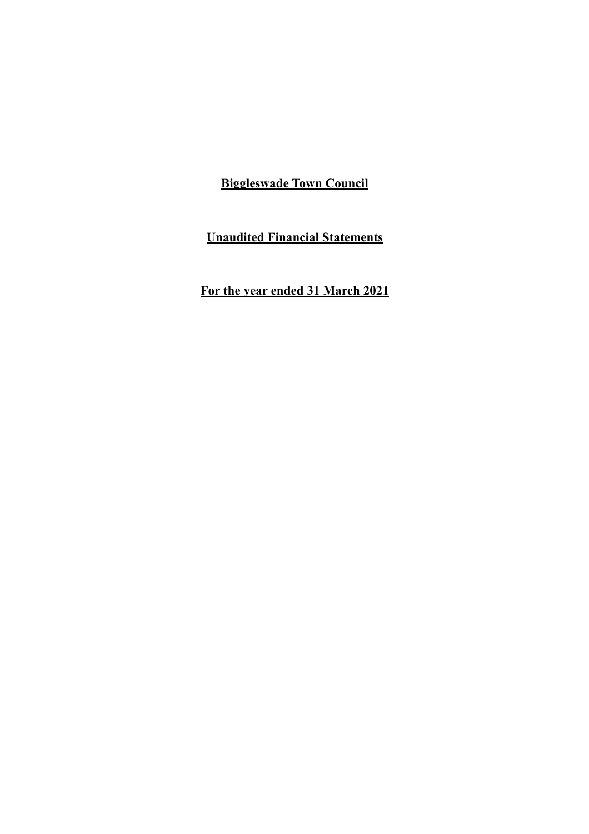**Unaudited Financial Statements**

**For the year ended 31 March 2021**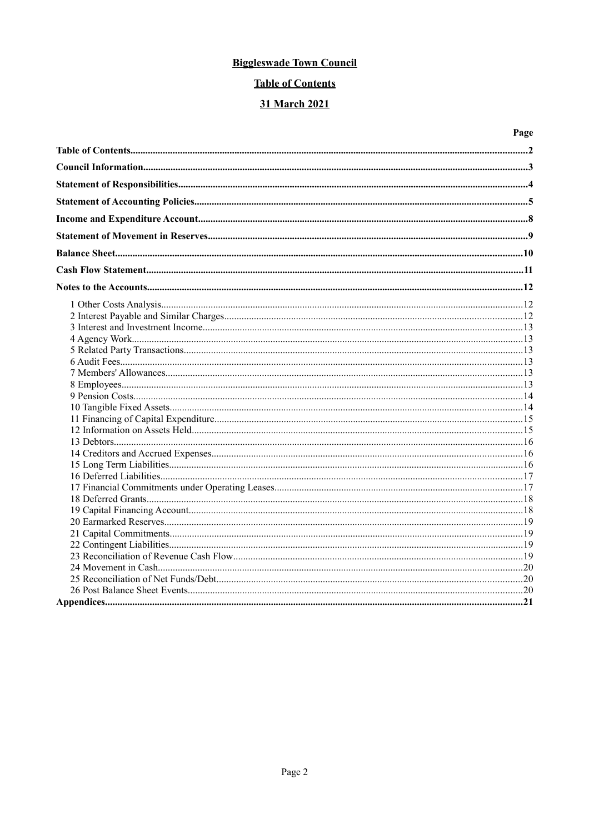# **Table of Contents**

# 31 March 2021

| Page |
|------|
|      |
|      |
|      |
|      |
|      |
|      |
|      |
|      |
|      |
|      |
|      |
|      |
|      |
|      |
|      |
|      |
|      |
|      |
|      |
|      |
|      |
|      |
|      |
|      |
|      |
|      |
|      |
|      |
|      |
|      |
|      |
|      |
|      |
|      |
|      |
|      |
|      |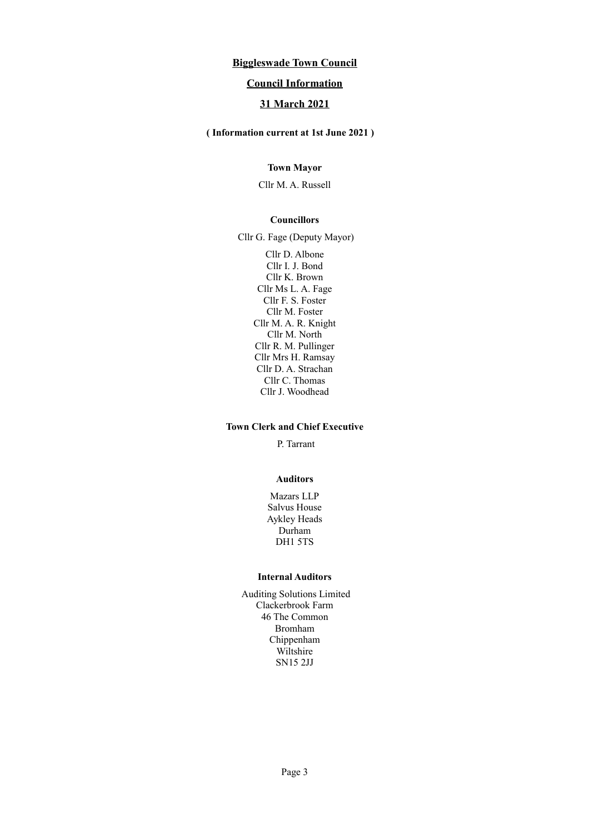## **Council Information**

# **31 March 2021**

# **( Information current at 1st June 2021 )**

## **Town Mayor**

Cllr M. A. Russell

#### **Councillors**

Cllr G. Fage (Deputy Mayor)

Cllr D. Albone Cllr I. J. Bond Cllr K. Brown Cllr Ms L. A. Fage Cllr F. S. Foster Cllr M. Foster Cllr M. A. R. Knight Cllr M. North Cllr R. M. Pullinger Cllr Mrs H. Ramsay Cllr D. A. Strachan Cllr C. Thomas Cllr J. Woodhead

#### **Town Clerk and Chief Executive**

P. Tarrant

#### **Auditors**

Mazars LLP Salvus House Aykley Heads Durham DH1 5TS

#### **Internal Auditors**

Auditing Solutions Limited Clackerbrook Farm 46 The Common Bromham Chippenham Wiltshire SN15 2JJ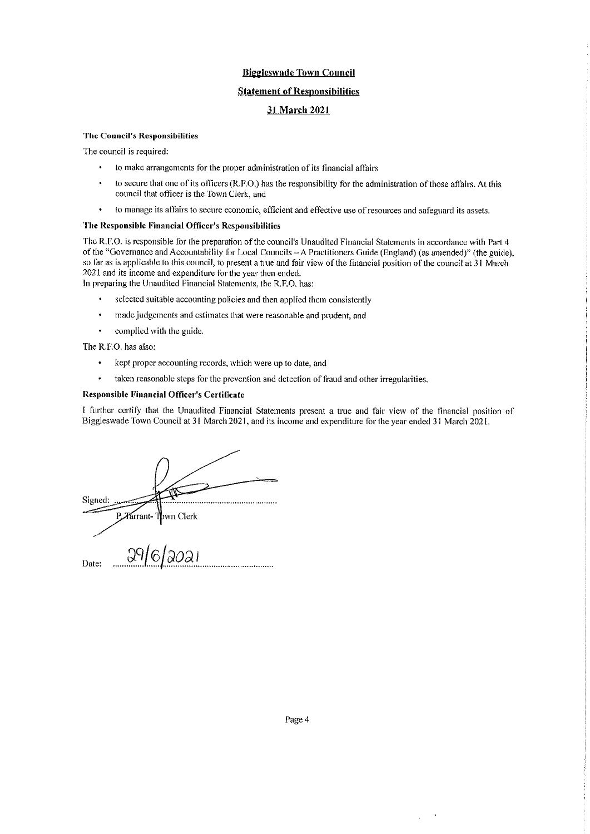#### **Statement of Responsibilities**

## **31 March 2021**

#### **The Council's Responsibilities**

The council is required:

- to make arrangements for the proper administration of its financial affairs
- to secure that one of its officers (R.F.O.) has the responsibility for the administration of those affairs. At this × council that officer is the Town Clerk, and
- to manage its affairs to secure economic, efficient and effective use of resources and safeguard its assets.  $\bullet$

#### The Responsible Financial Officer's Responsibilities

The R.F.O. is responsible for the preparation of the council's Unaudited Financial Statements in accordance with Part 4 of the "Governance and Accountability for Local Councils - A Practitioners Guide (England) (as amended)" (the guide), so far as is applicable to this council, to present a true and fair view of the financial position of the council at 31 March 2021 and its income and expenditure for the year then ended.

In preparing the Unaudited Financial Statements, the R.F.O. has:

- selected suitable accounting policies and then applied them consistently
- $\ddot{\phantom{0}}$ made judgements and estimates that were reasonable and prudent, and
- complied with the guide.

The R.F.O. has also:

- $\bullet$ kept proper accounting records, which were up to date, and
- taken reasonable steps for the prevention and detection of fraud and other irregularities.

#### **Responsible Financial Officer's Certificate**

I further certify that the Unaudited Financial Statements present a true and fair view of the financial position of Biggleswade Town Council at 31 March 2021, and its income and expenditure for the year ended 31 March 2021.

| Signed: |                                    |
|---------|------------------------------------|
| Date:   | P. Tarrant-Town Clerk<br>29/6/2021 |

 $\bar{z}$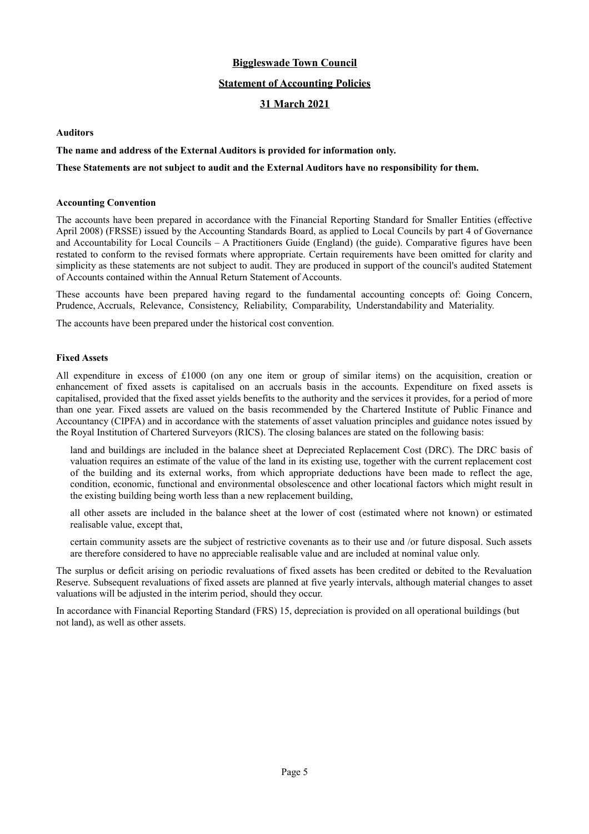#### **Statement of Accounting Policies**

#### **31 March 2021**

#### **Auditors**

#### **The name and address of the External Auditors is provided for information only.**

#### **These Statements are not subject to audit and the External Auditors have no responsibility for them.**

#### **Accounting Convention**

The accounts have been prepared in accordance with the Financial Reporting Standard for Smaller Entities (effective April 2008) (FRSSE) issued by the Accounting Standards Board, as applied to Local Councils by part 4 of Governance and Accountability for Local Councils – A Practitioners Guide (England) (the guide). Comparative figures have been restated to conform to the revised formats where appropriate. Certain requirements have been omitted for clarity and simplicity as these statements are not subject to audit. They are produced in support of the council's audited Statement of Accounts contained within the Annual Return Statement of Accounts.

These accounts have been prepared having regard to the fundamental accounting concepts of: Going Concern, Prudence, Accruals, Relevance, Consistency, Reliability, Comparability, Understandability and Materiality.

The accounts have been prepared under the historical cost convention.

#### **Fixed Assets**

All expenditure in excess of £1000 (on any one item or group of similar items) on the acquisition, creation or enhancement of fixed assets is capitalised on an accruals basis in the accounts. Expenditure on fixed assets is capitalised, provided that the fixed asset yields benefits to the authority and the services it provides, for a period of more than one year. Fixed assets are valued on the basis recommended by the Chartered Institute of Public Finance and Accountancy (CIPFA) and in accordance with the statements of asset valuation principles and guidance notes issued by the Royal Institution of Chartered Surveyors (RICS). The closing balances are stated on the following basis:

land and buildings are included in the balance sheet at Depreciated Replacement Cost (DRC). The DRC basis of valuation requires an estimate of the value of the land in its existing use, together with the current replacement cost of the building and its external works, from which appropriate deductions have been made to reflect the age, condition, economic, functional and environmental obsolescence and other locational factors which might result in the existing building being worth less than a new replacement building,

all other assets are included in the balance sheet at the lower of cost (estimated where not known) or estimated realisable value, except that,

certain community assets are the subject of restrictive covenants as to their use and /or future disposal. Such assets are therefore considered to have no appreciable realisable value and are included at nominal value only.

The surplus or deficit arising on periodic revaluations of fixed assets has been credited or debited to the Revaluation Reserve. Subsequent revaluations of fixed assets are planned at five yearly intervals, although material changes to asset valuations will be adjusted in the interim period, should they occur.

In accordance with Financial Reporting Standard (FRS) 15, depreciation is provided on all operational buildings (but not land), as well as other assets.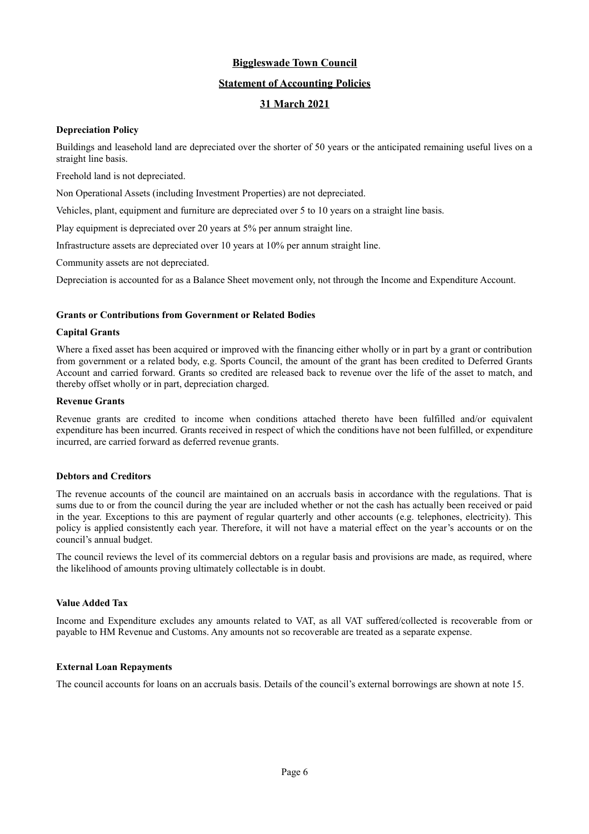## **Statement of Accounting Policies**

# **31 March 2021**

#### **Depreciation Policy**

Buildings and leasehold land are depreciated over the shorter of 50 years or the anticipated remaining useful lives on a straight line basis.

Freehold land is not depreciated.

Non Operational Assets (including Investment Properties) are not depreciated.

Vehicles, plant, equipment and furniture are depreciated over 5 to 10 years on a straight line basis.

Play equipment is depreciated over 20 years at 5% per annum straight line.

Infrastructure assets are depreciated over 10 years at 10% per annum straight line.

Community assets are not depreciated.

Depreciation is accounted for as a Balance Sheet movement only, not through the Income and Expenditure Account.

#### **Grants or Contributions from Government or Related Bodies**

#### **Capital Grants**

Where a fixed asset has been acquired or improved with the financing either wholly or in part by a grant or contribution from government or a related body, e.g. Sports Council, the amount of the grant has been credited to Deferred Grants Account and carried forward. Grants so credited are released back to revenue over the life of the asset to match, and thereby offset wholly or in part, depreciation charged.

#### **Revenue Grants**

Revenue grants are credited to income when conditions attached thereto have been fulfilled and/or equivalent expenditure has been incurred. Grants received in respect of which the conditions have not been fulfilled, or expenditure incurred, are carried forward as deferred revenue grants.

#### **Debtors and Creditors**

The revenue accounts of the council are maintained on an accruals basis in accordance with the regulations. That is sums due to or from the council during the year are included whether or not the cash has actually been received or paid in the year. Exceptions to this are payment of regular quarterly and other accounts (e.g. telephones, electricity). This policy is applied consistently each year. Therefore, it will not have a material effect on the year's accounts or on the council's annual budget.

The council reviews the level of its commercial debtors on a regular basis and provisions are made, as required, where the likelihood of amounts proving ultimately collectable is in doubt.

## **Value Added Tax**

Income and Expenditure excludes any amounts related to VAT, as all VAT suffered/collected is recoverable from or payable to HM Revenue and Customs. Any amounts not so recoverable are treated as a separate expense.

#### **External Loan Repayments**

The council accounts for loans on an accruals basis. Details of the council's external borrowings are shown at note 15.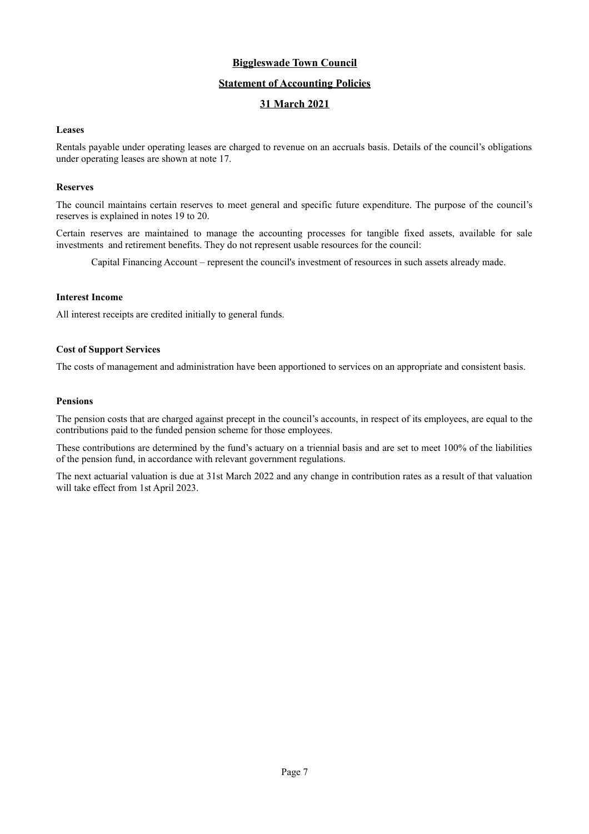## **Statement of Accounting Policies**

# **31 March 2021**

#### **Leases**

Rentals payable under operating leases are charged to revenue on an accruals basis. Details of the council's obligations under operating leases are shown at note 17.

#### **Reserves**

The council maintains certain reserves to meet general and specific future expenditure. The purpose of the council's reserves is explained in notes 19 to 20.

Certain reserves are maintained to manage the accounting processes for tangible fixed assets, available for sale investments and retirement benefits. They do not represent usable resources for the council:

Capital Financing Account – represent the council's investment of resources in such assets already made.

#### **Interest Income**

All interest receipts are credited initially to general funds.

## **Cost of Support Services**

The costs of management and administration have been apportioned to services on an appropriate and consistent basis.

#### **Pensions**

The pension costs that are charged against precept in the council's accounts, in respect of its employees, are equal to the contributions paid to the funded pension scheme for those employees.

These contributions are determined by the fund's actuary on a triennial basis and are set to meet 100% of the liabilities of the pension fund, in accordance with relevant government regulations.

The next actuarial valuation is due at 31st March 2022 and any change in contribution rates as a result of that valuation will take effect from 1st April 2023.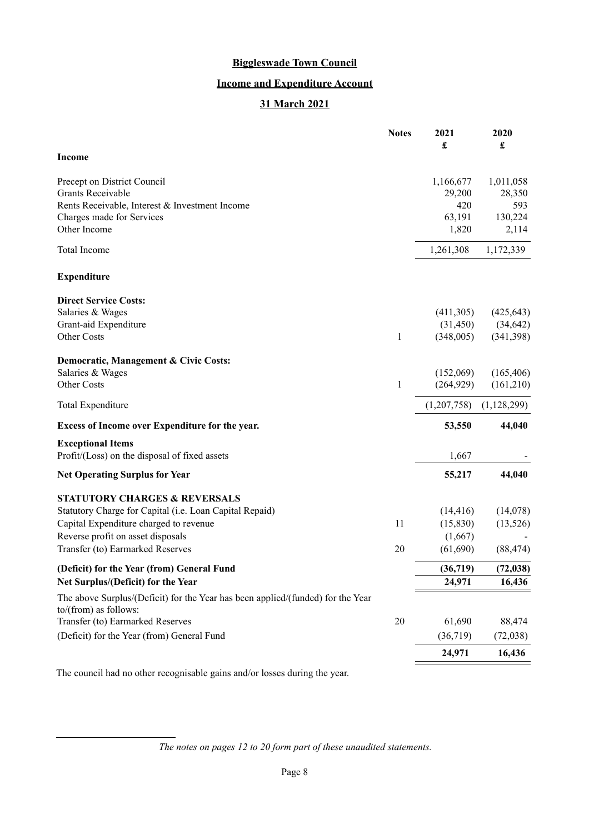# **Income and Expenditure Account**

# **31 March 2021**

|                                                                                                          | <b>Notes</b> | 2021<br>£   | 2020<br>£   |
|----------------------------------------------------------------------------------------------------------|--------------|-------------|-------------|
| <b>Income</b>                                                                                            |              |             |             |
| Precept on District Council                                                                              |              | 1,166,677   | 1,011,058   |
| Grants Receivable                                                                                        |              | 29,200      | 28,350      |
| Rents Receivable, Interest & Investment Income                                                           |              | 420         | 593         |
| Charges made for Services                                                                                |              | 63,191      | 130,224     |
| Other Income                                                                                             |              | 1,820       | 2,114       |
| Total Income                                                                                             |              | 1,261,308   | 1,172,339   |
| <b>Expenditure</b>                                                                                       |              |             |             |
| <b>Direct Service Costs:</b>                                                                             |              |             |             |
| Salaries & Wages                                                                                         |              | (411,305)   | (425, 643)  |
| Grant-aid Expenditure                                                                                    |              | (31, 450)   | (34, 642)   |
| Other Costs                                                                                              | 1            | (348,005)   | (341,398)   |
| Democratic, Management & Civic Costs:                                                                    |              |             |             |
| Salaries & Wages                                                                                         |              | (152,069)   | (165, 406)  |
| Other Costs                                                                                              | 1            | (264, 929)  | (161,210)   |
| Total Expenditure                                                                                        |              | (1,207,758) | (1,128,299) |
| Excess of Income over Expenditure for the year.                                                          |              | 53,550      | 44,040      |
| <b>Exceptional Items</b>                                                                                 |              |             |             |
| Profit/(Loss) on the disposal of fixed assets                                                            |              | 1,667       |             |
| <b>Net Operating Surplus for Year</b>                                                                    |              | 55,217      | 44,040      |
| <b>STATUTORY CHARGES &amp; REVERSALS</b>                                                                 |              |             |             |
| Statutory Charge for Capital (i.e. Loan Capital Repaid)                                                  |              | (14, 416)   | (14,078)    |
| Capital Expenditure charged to revenue                                                                   | 11           | (15,830)    | (13, 526)   |
| Reverse profit on asset disposals                                                                        |              | (1,667)     |             |
| Transfer (to) Earmarked Reserves                                                                         | 20           | (61, 690)   | (88, 474)   |
| (Deficit) for the Year (from) General Fund                                                               |              | (36,719)    | (72, 038)   |
| Net Surplus/(Deficit) for the Year                                                                       |              | 24,971      | 16,436      |
| The above Surplus/(Deficit) for the Year has been applied/(funded) for the Year<br>to/(from) as follows: |              |             |             |
| Transfer (to) Earmarked Reserves                                                                         | 20           | 61,690      | 88,474      |
| (Deficit) for the Year (from) General Fund                                                               |              | (36,719)    | (72,038)    |
|                                                                                                          |              | 24,971      | 16,436      |

The council had no other recognisable gains and/or losses during the year.

*The notes on pages [12](#page-11-0) to [20](#page-19-0) form part of these unaudited statements.*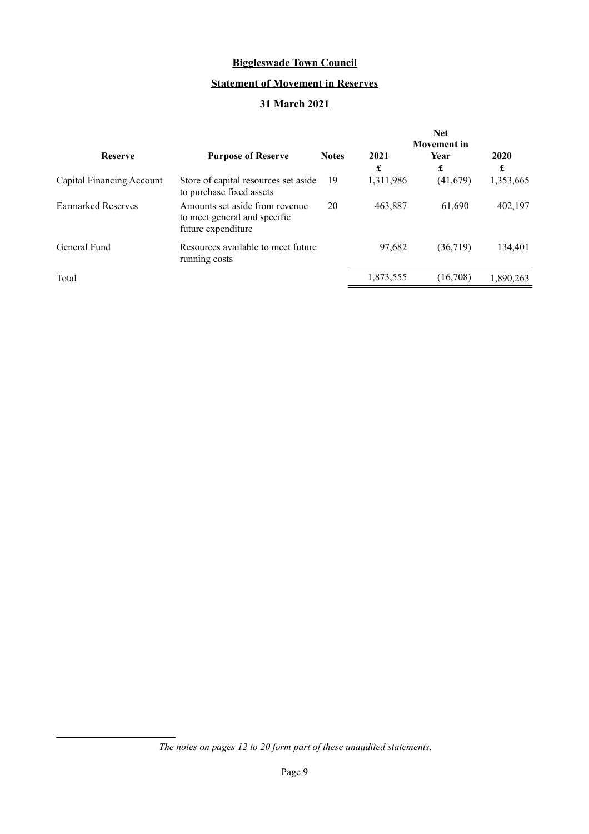# **Statement of Movement in Reserves**

# **31 March 2021**

|                           |                                                                                      |              |           | <b>Net</b><br><b>Movement</b> in |           |
|---------------------------|--------------------------------------------------------------------------------------|--------------|-----------|----------------------------------|-----------|
| <b>Reserve</b>            | <b>Purpose of Reserve</b>                                                            | <b>Notes</b> | 2021<br>£ | <b>Year</b><br>£                 | 2020<br>£ |
| Capital Financing Account | Store of capital resources set aside<br>to purchase fixed assets                     | 19           | 1,311,986 | (41,679)                         | 1,353,665 |
| <b>Earmarked Reserves</b> | Amounts set aside from revenue<br>to meet general and specific<br>future expenditure | 20           | 463,887   | 61,690                           | 402,197   |
| General Fund              | Resources available to meet future<br>running costs                                  |              | 97,682    | (36,719)                         | 134,401   |
| Total                     |                                                                                      |              | 1,873,555 | (16,708)                         | 1,890,263 |

*The notes on pages [12](#page-11-0) to [20](#page-19-0) form part of these unaudited statements.*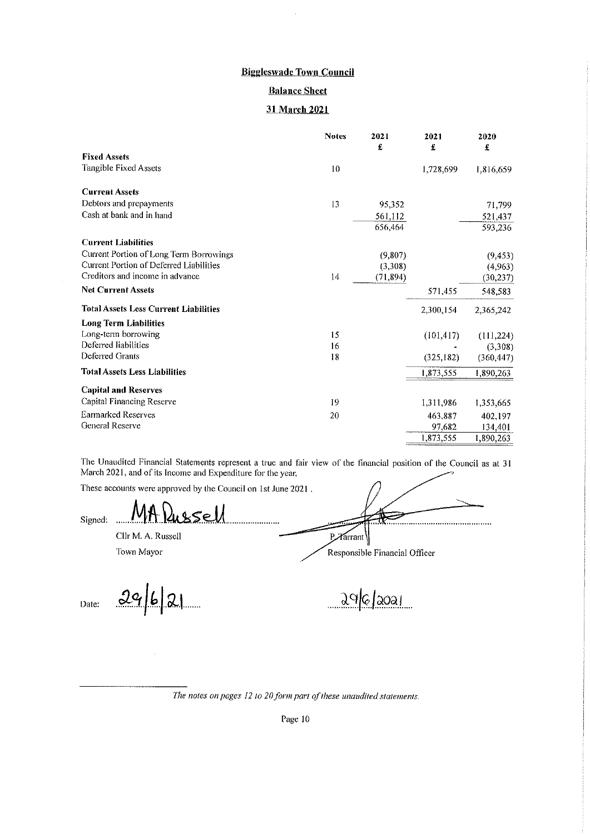## **Balance Sheet**

#### 31 March 2021

|                                              | <b>Notes</b>  | 2021<br>£ | 2021<br>£  | 2020<br>£  |
|----------------------------------------------|---------------|-----------|------------|------------|
| <b>Fixed Assets</b>                          |               |           |            |            |
| Tangible Fixed Assets                        | 10            |           | 1,728,699  | 1,816,659  |
| <b>Current Assets</b>                        |               |           |            |            |
| Debtors and prepayments                      | 13            | 95,352    |            | 71,799     |
| Cash at bank and in hand                     |               | 561,112   |            | 521,437    |
|                                              |               | 656,464   |            | 593,236    |
| <b>Current Liabilities</b>                   |               |           |            |            |
| Current Portion of Long Term Borrowings      |               | (9,807)   |            | (9, 453)   |
| Current Portion of Deferred Liabilities      |               | (3,308)   |            | (4,963)    |
| Creditors and income in advance              | $\frac{1}{4}$ | (71, 894) |            | (30, 237)  |
| <b>Net Current Assets</b>                    |               |           | 571,455    | 548,583    |
| <b>Total Assets Less Current Liabilities</b> |               |           | 2,300,154  | 2,365,242  |
| <b>Long Term Liabilities</b>                 |               |           |            |            |
| Long-term borrowing                          | 15            |           | (101, 417) | (111, 224) |
| Deferred liabilities                         | 16            |           |            | (3,308)    |
| Deferred Grants                              | 18            |           | (325, 182) | (360, 447) |
| <b>Total Assets Less Liabilities</b>         |               |           | 1,873,555  | 1,890,263  |
| <b>Capital and Reserves</b>                  |               |           |            |            |
| Capital Financing Reserve                    | 19            |           | 1,311,986  | 1,353,665  |
| Earmarked Reserves                           | 20            |           | 463,887    | 402,197    |
| General Reserve                              |               |           | 97,682     | 134,401    |
|                                              |               |           | 1,873,555  | 1,890,263  |

The Unaudited Financial Statements represent a true and fair view of the financial position of the Council as at 31 March 2021, and of its Income and Expenditure for the year.

These accounts were approved by the Council on 1st June 2021.

 $\ddotsc$ 

Cllr M. A. Russell Town Mayor

Responsible Financial Officer

 $\textbf{E}$ 

Date:

Signed:

 $2962$ 

 $P\mathcal{A}$ arrant

The notes on pages 12 to 20 form part of these unaudited statements.

Page 10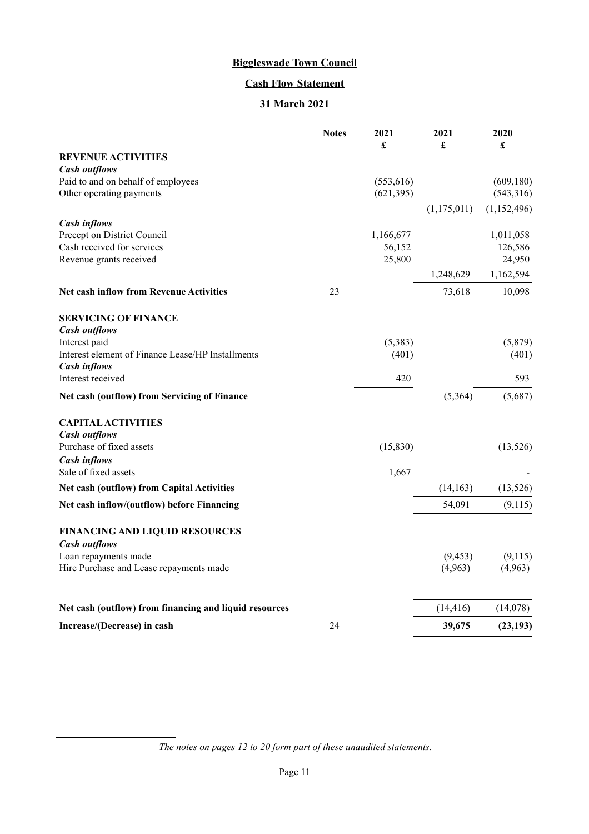# **Cash Flow Statement**

# **31 March 2021**

|                                                        | <b>Notes</b> | 2021<br>£  | 2021<br>£   | 2020<br>£   |
|--------------------------------------------------------|--------------|------------|-------------|-------------|
| <b>REVENUE ACTIVITIES</b>                              |              |            |             |             |
| <b>Cash outflows</b>                                   |              |            |             |             |
| Paid to and on behalf of employees                     |              | (553, 616) |             | (609, 180)  |
| Other operating payments                               |              | (621, 395) |             | (543,316)   |
|                                                        |              |            | (1,175,011) | (1,152,496) |
| <b>Cash inflows</b><br>Precept on District Council     |              | 1,166,677  |             | 1,011,058   |
| Cash received for services                             |              | 56,152     |             | 126,586     |
| Revenue grants received                                |              | 25,800     |             | 24,950      |
|                                                        |              |            | 1,248,629   | 1,162,594   |
| <b>Net cash inflow from Revenue Activities</b>         | 23           |            | 73,618      | 10,098      |
| <b>SERVICING OF FINANCE</b>                            |              |            |             |             |
| <b>Cash outflows</b>                                   |              |            |             |             |
| Interest paid                                          |              | (5,383)    |             | (5,879)     |
| Interest element of Finance Lease/HP Installments      |              | (401)      |             | (401)       |
| <b>Cash inflows</b><br>Interest received               |              | 420        |             | 593         |
| Net cash (outflow) from Servicing of Finance           |              |            | (5,364)     | (5,687)     |
| <b>CAPITAL ACTIVITIES</b>                              |              |            |             |             |
| <b>Cash outflows</b>                                   |              |            |             |             |
| Purchase of fixed assets                               |              | (15, 830)  |             | (13,526)    |
| <b>Cash inflows</b>                                    |              |            |             |             |
| Sale of fixed assets                                   |              | 1,667      |             |             |
| <b>Net cash (outflow) from Capital Activities</b>      |              |            | (14, 163)   | (13,526)    |
| Net cash inflow/(outflow) before Financing             |              |            | 54,091      | (9,115)     |
| <b>FINANCING AND LIQUID RESOURCES</b>                  |              |            |             |             |
| <b>Cash outflows</b>                                   |              |            |             |             |
| Loan repayments made                                   |              |            | (9, 453)    | (9,115)     |
| Hire Purchase and Lease repayments made                |              |            | (4,963)     | (4,963)     |
| Net cash (outflow) from financing and liquid resources |              |            | (14, 416)   | (14,078)    |
| Increase/(Decrease) in cash                            | 24           |            | 39,675      | (23, 193)   |
|                                                        |              |            |             |             |

*The notes on pages [12](#page-11-0) to [20](#page-19-0) form part of these unaudited statements.*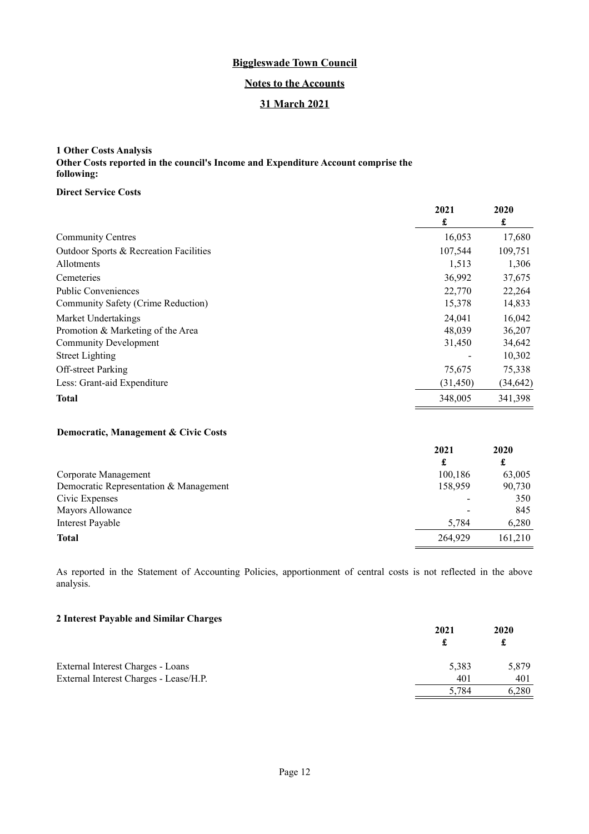## **Notes to the Accounts**

## **31 March 2021**

# <span id="page-11-0"></span>**1 Other Costs Analysis Other Costs reported in the council's Income and Expenditure Account comprise the following:**

#### **Direct Service Costs**

|                                        | 2021<br>£ | 2020<br>£ |
|----------------------------------------|-----------|-----------|
| <b>Community Centres</b>               | 16,053    | 17,680    |
| Outdoor Sports & Recreation Facilities | 107,544   | 109,751   |
| <b>Allotments</b>                      | 1,513     | 1,306     |
| Cemeteries                             | 36,992    | 37,675    |
| Public Conveniences                    | 22,770    | 22,264    |
| Community Safety (Crime Reduction)     | 15,378    | 14,833    |
| Market Undertakings                    | 24.041    | 16,042    |
| Promotion & Marketing of the Area      | 48,039    | 36,207    |
| Community Development                  | 31,450    | 34,642    |
| <b>Street Lighting</b>                 |           | 10,302    |
| <b>Off-street Parking</b>              | 75,675    | 75,338    |
| Less: Grant-aid Expenditure            | (31, 450) | (34, 642) |
| <b>Total</b>                           | 348,005   | 341,398   |

## **Democratic, Management & Civic Costs**

|                                        | 2021    | 2020    |
|----------------------------------------|---------|---------|
|                                        |         | £       |
| Corporate Management                   | 100,186 | 63,005  |
| Democratic Representation & Management | 158,959 | 90,730  |
| Civic Expenses                         | ٠       | 350     |
| Mayors Allowance                       |         | 845     |
| Interest Payable                       | 5,784   | 6,280   |
| <b>Total</b>                           | 264,929 | 161,210 |

As reported in the Statement of Accounting Policies, apportionment of central costs is not reflected in the above analysis.

## **2 Interest Payable and Similar Charges**

| $\sim$ merest rayable and similar enarges | 2021  | 2020<br>£ |
|-------------------------------------------|-------|-----------|
| External Interest Charges - Loans         | 5,383 | 5,879     |
| External Interest Charges - Lease/H.P.    | 401   | 401       |
|                                           | 5.784 | 6,280     |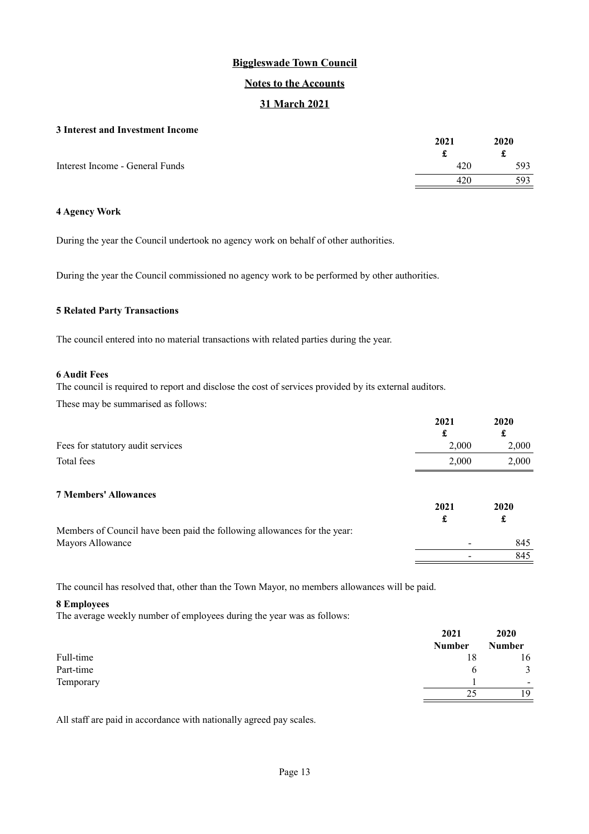## **Notes to the Accounts**

# **31 March 2021**

#### **3 Interest and Investment Income**

|                                 | 2021 | 2020 |
|---------------------------------|------|------|
|                                 |      | t    |
| Interest Income - General Funds | 420  | 593  |
|                                 | 42U  | 593  |

# **4 Agency Work**

During the year the Council undertook no agency work on behalf of other authorities.

During the year the Council commissioned no agency work to be performed by other authorities.

#### **5 Related Party Transactions**

The council entered into no material transactions with related parties during the year.

#### **6 Audit Fees**

The council is required to report and disclose the cost of services provided by its external auditors.

These may be summarised as follows:

|                                                                          | 2021  | 2020  |
|--------------------------------------------------------------------------|-------|-------|
|                                                                          | £     | £     |
| Fees for statutory audit services                                        | 2,000 | 2,000 |
| Total fees                                                               | 2,000 | 2,000 |
| <b>7 Members' Allowances</b>                                             | 2021  | 2020  |
|                                                                          | £     | £     |
| Members of Council have been paid the following allowances for the year: |       |       |
| Mayors Allowance                                                         |       | 845   |
|                                                                          |       | 845   |

The council has resolved that, other than the Town Mayor, no members allowances will be paid.

#### **8 Employees**

The average weekly number of employees during the year was as follows:

|           | 2021   | 2020                     |
|-----------|--------|--------------------------|
|           | Number | <b>Number</b>            |
| Full-time | 18     | 16                       |
| Part-time | h      | 3                        |
| Temporary |        | $\overline{\phantom{a}}$ |
|           | 25     | 19                       |

All staff are paid in accordance with nationally agreed pay scales.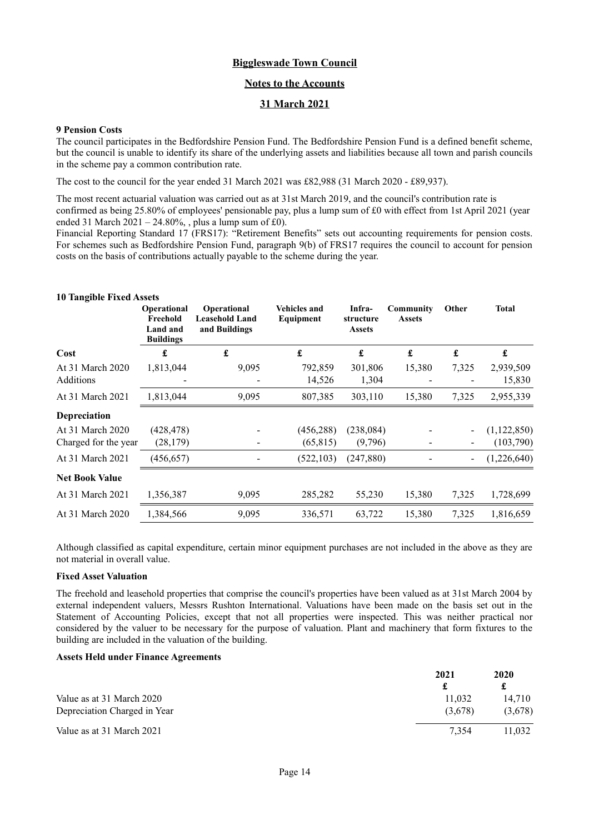#### **Notes to the Accounts**

#### **31 March 2021**

#### **9 Pension Costs**

The council participates in the Bedfordshire Pension Fund. The Bedfordshire Pension Fund is a defined benefit scheme, but the council is unable to identify its share of the underlying assets and liabilities because all town and parish councils in the scheme pay a common contribution rate.

The cost to the council for the year ended 31 March 2021 was £82,988 (31 March 2020 - £89,937).

The most recent actuarial valuation was carried out as at 31st March 2019, and the council's contribution rate is confirmed as being 25.80% of employees' pensionable pay, plus a lump sum of £0 with effect from 1st April 2021 (year ended 31 March 2021 – 24.80%, , plus a lump sum of £0).

Financial Reporting Standard 17 (FRS17): "Retirement Benefits" sets out accounting requirements for pension costs. For schemes such as Bedfordshire Pension Fund, paragraph 9(b) of FRS17 requires the council to account for pension costs on the basis of contributions actually payable to the scheme during the year.

| <b>10 Tangible Fixed Assets</b> |                                                                |                                                       |                                  |                                      |                            |                          |                     |
|---------------------------------|----------------------------------------------------------------|-------------------------------------------------------|----------------------------------|--------------------------------------|----------------------------|--------------------------|---------------------|
|                                 | <b>Operational</b><br>Freehold<br>Land and<br><b>Buildings</b> | Operational<br><b>Leasehold Land</b><br>and Buildings | <b>Vehicles and</b><br>Equipment | Infra-<br>structure<br><b>Assets</b> | Community<br><b>Assets</b> | Other                    | <b>Total</b>        |
| Cost                            | £                                                              | $\mathbf f$                                           | £                                | £                                    | £                          | £                        | $\pmb{\mathbf{f}}$  |
| At 31 March 2020<br>Additions   | 1,813,044                                                      | 9,095                                                 | 792,859<br>14,526                | 301,806<br>1,304                     | 15,380                     | 7,325                    | 2,939,509<br>15,830 |
| At 31 March 2021                | 1,813,044                                                      | 9,095                                                 | 807,385                          | 303,110                              | 15,380                     | 7,325                    | 2,955,339           |
| Depreciation                    |                                                                |                                                       |                                  |                                      |                            |                          |                     |
| At 31 March 2020                | (428,478)                                                      |                                                       | (456, 288)                       | (238,084)                            |                            |                          | (1,122,850)         |
| Charged for the year            | (28, 179)                                                      |                                                       | (65, 815)                        | (9,796)                              |                            |                          | (103,790)           |
| At 31 March 2021                | (456, 657)                                                     |                                                       | (522, 103)                       | (247, 880)                           |                            | $\overline{\phantom{a}}$ | (1,226,640)         |
| <b>Net Book Value</b>           |                                                                |                                                       |                                  |                                      |                            |                          |                     |
| At 31 March 2021                | 1,356,387                                                      | 9,095                                                 | 285,282                          | 55,230                               | 15,380                     | 7,325                    | 1,728,699           |
| At 31 March 2020                | 1,384,566                                                      | 9,095                                                 | 336,571                          | 63,722                               | 15,380                     | 7,325                    | 1,816,659           |

Although classified as capital expenditure, certain minor equipment purchases are not included in the above as they are not material in overall value.

#### **Fixed Asset Valuation**

The freehold and leasehold properties that comprise the council's properties have been valued as at 31st March 2004 by external independent valuers, Messrs Rushton International. Valuations have been made on the basis set out in the Statement of Accounting Policies, except that not all properties were inspected. This was neither practical nor considered by the valuer to be necessary for the purpose of valuation. Plant and machinery that form fixtures to the building are included in the valuation of the building.

#### **Assets Held under Finance Agreements**

|                              | 2021    | 2020    |
|------------------------------|---------|---------|
|                              |         | £       |
| Value as at 31 March 2020    | 11,032  | 14.710  |
| Depreciation Charged in Year | (3,678) | (3,678) |
| Value as at 31 March 2021    | 7.354   | 1.032   |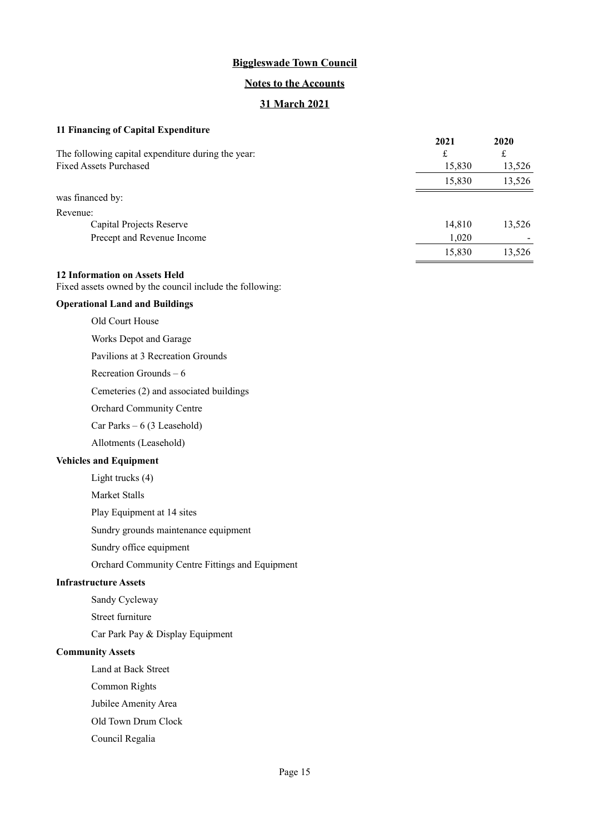#### **Notes to the Accounts**

# **31 March 2021**

# **11 Financing of Capital Expenditure**

|                                                    | 2021   | 2020   |
|----------------------------------------------------|--------|--------|
| The following capital expenditure during the year: | £      | £      |
| <b>Fixed Assets Purchased</b>                      | 15,830 | 13,526 |
|                                                    | 15,830 | 13,526 |
| was financed by:                                   |        |        |
| Revenue:                                           |        |        |
| Capital Projects Reserve                           | 14,810 | 13,526 |
| Precept and Revenue Income                         | 1,020  |        |
|                                                    | 15,830 | 13,526 |
|                                                    |        |        |

#### **12 Information on Assets Held**

Fixed assets owned by the council include the following:

# **Operational Land and Buildings**

Old Court House

Works Depot and Garage

Pavilions at 3 Recreation Grounds

Recreation Grounds – 6

Cemeteries (2) and associated buildings

Orchard Community Centre

Car Parks – 6 (3 Leasehold)

Allotments (Leasehold)

# **Vehicles and Equipment**

Light trucks (4)

Market Stalls

Play Equipment at 14 sites

Sundry grounds maintenance equipment

Sundry office equipment

Orchard Community Centre Fittings and Equipment

# **Infrastructure Assets**

Sandy Cycleway

Street furniture

Car Park Pay & Display Equipment

## **Community Assets**

Land at Back Street

Common Rights

Jubilee Amenity Area

Old Town Drum Clock

Council Regalia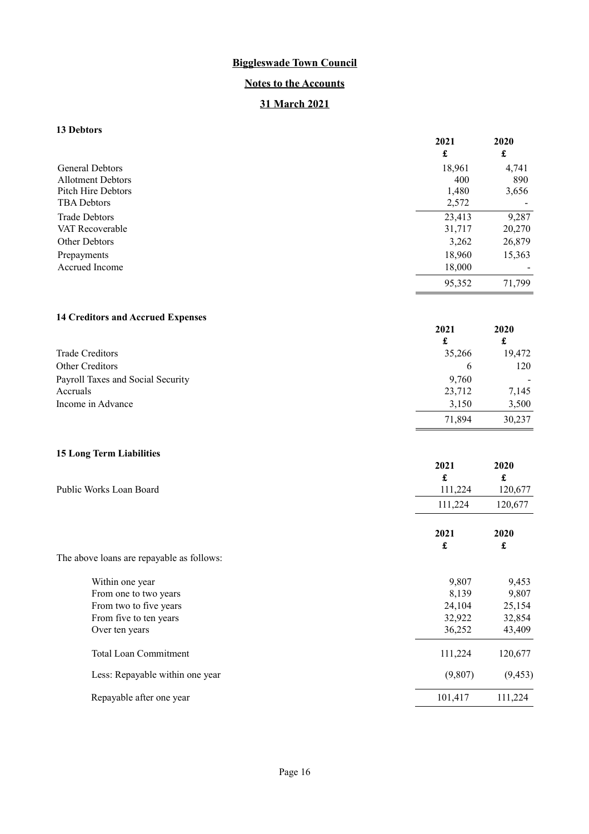# **Notes to the Accounts**

# **31 March 2021**

# **13 Debtors**

|                                                    | 2021<br>$\pmb{\mathfrak{L}}$ | 2020<br>$\pmb{\mathfrak{L}}$ |
|----------------------------------------------------|------------------------------|------------------------------|
|                                                    |                              |                              |
| <b>General Debtors</b><br><b>Allotment Debtors</b> | 18,961<br>400                | 4,741<br>890                 |
| Pitch Hire Debtors                                 | 1,480                        | 3,656                        |
| <b>TBA</b> Debtors                                 | 2,572                        |                              |
| <b>Trade Debtors</b>                               | 23,413                       | 9,287                        |
| VAT Recoverable                                    | 31,717                       | 20,270                       |
| Other Debtors                                      | 3,262                        | 26,879                       |
| Prepayments                                        | 18,960                       | 15,363                       |
| Accrued Income                                     | 18,000                       |                              |
|                                                    | 95,352                       | 71,799                       |
| <b>14 Creditors and Accrued Expenses</b>           |                              |                              |
|                                                    | 2021                         | 2020                         |
|                                                    | $\pmb{\mathfrak{L}}$         | $\pmb{\mathfrak{L}}$         |
| <b>Trade Creditors</b>                             | 35,266                       | 19,472                       |
| Other Creditors                                    | 6                            | 120                          |
| Payroll Taxes and Social Security                  | 9,760                        |                              |
| Accruals                                           | 23,712                       | 7,145                        |
| Income in Advance                                  | 3,150                        | 3,500                        |
|                                                    | 71,894                       | 30,237                       |
| <b>15 Long Term Liabilities</b>                    |                              |                              |
|                                                    | 2021                         | 2020                         |
|                                                    | £                            | $\pmb{\mathfrak{L}}$         |
| Public Works Loan Board                            | 111,224                      | 120,677                      |
|                                                    | 111,224                      | 120,677                      |
|                                                    | 2021                         | 2020                         |
|                                                    | £                            | £                            |
| The above loans are repayable as follows:          |                              |                              |
| Within one year                                    | 9,807                        | 9,453                        |
| From one to two years                              | 8,139                        | 9,807                        |

| From one to two years           | 8,139   | 9,807    |
|---------------------------------|---------|----------|
| From two to five years          | 24,104  | 25,154   |
| From five to ten years          | 32,922  | 32,854   |
| Over ten years                  | 36,252  | 43,409   |
| <b>Total Loan Commitment</b>    | 111,224 | 120,677  |
| Less: Repayable within one year | (9,807) | (9, 453) |
| Repayable after one year        | 101,417 | 111.224  |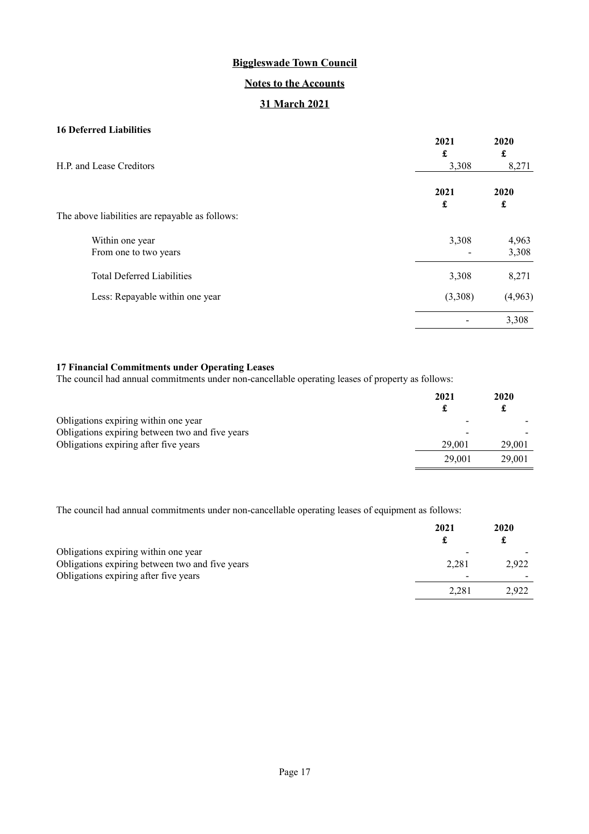# **Notes to the Accounts**

# **31 March 2021**

# **16 Deferred Liabilities**

|                                                 | 2021<br>£ | 2020<br>£ |
|-------------------------------------------------|-----------|-----------|
| H.P. and Lease Creditors                        | 3,308     |           |
|                                                 | 2021      | 2020      |
| The above liabilities are repayable as follows: | £         | £         |
| Within one year                                 | 3,308     | 4,963     |
| From one to two years                           |           | 3,308     |
| <b>Total Deferred Liabilities</b>               | 3,308     | 8,271     |
| Less: Repayable within one year                 | (3,308)   | (4,963)   |
|                                                 |           | 3,308     |

# **17 Financial Commitments under Operating Leases**

The council had annual commitments under non-cancellable operating leases of property as follows:

|                                                 | 2021   | 2020<br>£ |
|-------------------------------------------------|--------|-----------|
| Obligations expiring within one year            |        |           |
| Obligations expiring between two and five years |        |           |
| Obligations expiring after five years           | 29,001 | 29,001    |
|                                                 | 29,001 | 29,001    |

The council had annual commitments under non-cancellable operating leases of equipment as follows:

|                                                                                         | 2021  | 2020  |
|-----------------------------------------------------------------------------------------|-------|-------|
| Obligations expiring within one year<br>Obligations expiring between two and five years | 2,281 | 2.922 |
| Obligations expiring after five years                                                   |       |       |
|                                                                                         | 2,281 | 2,922 |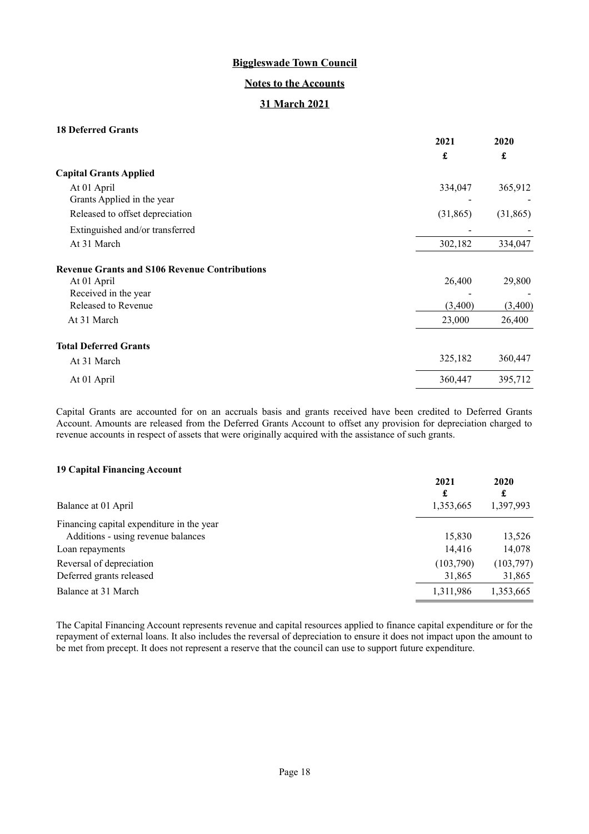## **Notes to the Accounts**

# **31 March 2021**

# **18 Deferred Grants**

|                                                      | 2021      | 2020      |
|------------------------------------------------------|-----------|-----------|
|                                                      | £         | £         |
| <b>Capital Grants Applied</b>                        |           |           |
| At 01 April                                          | 334,047   | 365,912   |
| Grants Applied in the year                           |           |           |
| Released to offset depreciation                      | (31, 865) | (31, 865) |
| Extinguished and/or transferred                      |           |           |
| At 31 March                                          | 302,182   | 334,047   |
| <b>Revenue Grants and S106 Revenue Contributions</b> |           |           |
| At 01 April                                          | 26,400    | 29,800    |
| Received in the year                                 |           |           |
| Released to Revenue                                  | (3,400)   | (3,400)   |
| At 31 March                                          | 23,000    | 26,400    |
| <b>Total Deferred Grants</b>                         |           |           |
| At 31 March                                          | 325,182   | 360,447   |
| At 01 April                                          | 360,447   | 395,712   |

Capital Grants are accounted for on an accruals basis and grants received have been credited to Deferred Grants Account. Amounts are released from the Deferred Grants Account to offset any provision for depreciation charged to revenue accounts in respect of assets that were originally acquired with the assistance of such grants.

#### **19 Capital Financing Account**

|                                           | 2021<br>£ | 2020<br>£ |
|-------------------------------------------|-----------|-----------|
| Balance at 01 April                       | 1,353,665 | 1,397,993 |
| Financing capital expenditure in the year |           |           |
| Additions - using revenue balances        | 15,830    | 13,526    |
| Loan repayments                           | 14,416    | 14,078    |
| Reversal of depreciation                  | (103,790) | (103,797) |
| Deferred grants released                  | 31,865    | 31,865    |
| Balance at 31 March                       | 1,311,986 | 1,353,665 |

The Capital Financing Account represents revenue and capital resources applied to finance capital expenditure or for the repayment of external loans. It also includes the reversal of depreciation to ensure it does not impact upon the amount to be met from precept. It does not represent a reserve that the council can use to support future expenditure.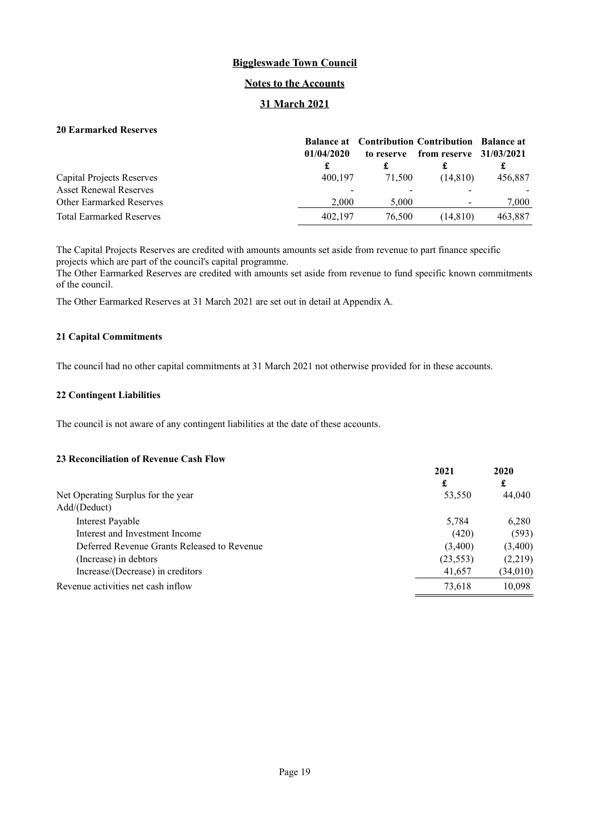#### **Notes to the Accounts**

# **31 March 2021**

# **20 Earmarked Reserves**

|                                 |            |            | <b>Balance at</b> Contribution Contribution Balance at |         |
|---------------------------------|------------|------------|--------------------------------------------------------|---------|
|                                 | 01/04/2020 | to reserve | from reserve $31/03/2021$                              |         |
|                                 |            |            |                                                        | ı       |
| Capital Projects Reserves       | 400.197    | 71,500     | (14.810)                                               | 456,887 |
| <b>Asset Renewal Reserves</b>   |            |            |                                                        |         |
| <b>Other Earmarked Reserves</b> | 2.000      | 5,000      |                                                        | 7.000   |
| <b>Total Earmarked Reserves</b> | 402.197    | 76,500     | (14.810)                                               | 463,887 |

The Capital Projects Reserves are credited with amounts amounts set aside from revenue to part finance specific projects which are part of the council's capital programme.

The Other Earmarked Reserves are credited with amounts set aside from revenue to fund specific known commitments of the council.

The Other Earmarked Reserves at 31 March 2021 are set out in detail at Appendix A.

#### **21 Capital Commitments**

The council had no other capital commitments at 31 March 2021 not otherwise provided for in these accounts.

#### **22 Contingent Liabilities**

The council is not aware of any contingent liabilities at the date of these accounts.

#### **23 Reconciliation of Revenue Cash Flow**

| 2020      |
|-----------|
| £         |
| 44,040    |
|           |
| 6.280     |
| (593)     |
| (3,400)   |
| (2,219)   |
| (34, 010) |
| 10.098    |
| (23, 553) |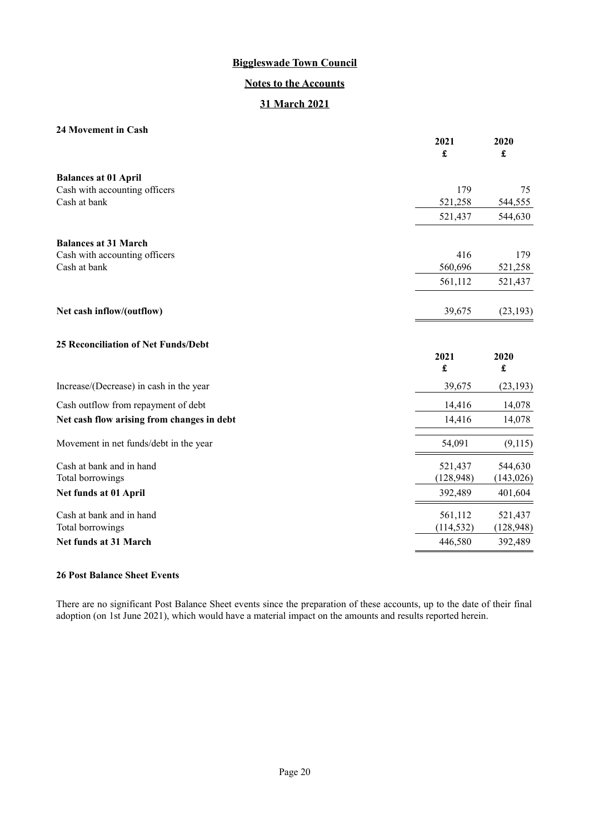# **Notes to the Accounts**

# **31 March 2021**

# **24 Movement in Cash**

|                                            | 2021<br>£  | 2020<br>£           |
|--------------------------------------------|------------|---------------------|
| <b>Balances at 01 April</b>                |            |                     |
| Cash with accounting officers              | 179        | 75                  |
| Cash at bank                               | 521,258    | 544,555             |
|                                            | 521,437    | 544,630             |
| <b>Balances at 31 March</b>                |            |                     |
| Cash with accounting officers              | 416        | 179                 |
| Cash at bank                               | 560,696    | 521,258             |
|                                            | 561,112    | 521,437             |
| Net cash inflow/(outflow)                  | 39,675     | (23, 193)           |
| <b>25 Reconciliation of Net Funds/Debt</b> |            |                     |
|                                            | 2021<br>£  | 2020<br>$\mathbf f$ |
| Increase/(Decrease) in cash in the year    | 39,675     | (23, 193)           |
| Cash outflow from repayment of debt        | 14,416     | 14,078              |
| Net cash flow arising from changes in debt | 14,416     | 14,078              |
| Movement in net funds/debt in the year     | 54,091     | (9,115)             |
| Cash at bank and in hand                   | 521,437    | 544,630             |
| Total borrowings                           | (128, 948) | (143, 026)          |
| Net funds at 01 April                      | 392,489    | 401,604             |
| Cash at bank and in hand                   | 561,112    | 521,437             |
| Total borrowings                           | (114, 532) | (128, 948)          |
| Net funds at 31 March                      | 446,580    | 392,489             |

#### **26 Post Balance Sheet Events**

<span id="page-19-0"></span>There are no significant Post Balance Sheet events since the preparation of these accounts, up to the date of their final adoption (on 1st June 2021), which would have a material impact on the amounts and results reported herein.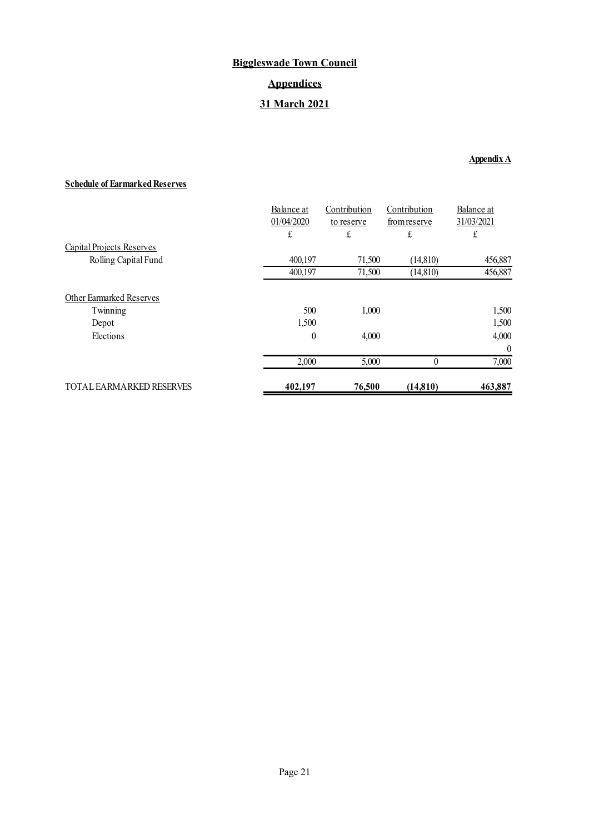# **Biggleswade Town Council Appendices 31 March 2021**

# **Appendix A**

# **Schedule of Earmarked Reserves**

|                                  | Balance at       | Contribution | Contribution | Balance at |
|----------------------------------|------------------|--------------|--------------|------------|
|                                  | 01/04/2020       | to reserve   | from reserve | 31/03/2021 |
|                                  | £                | £            | £            | £          |
| <b>Capital Projects Reserves</b> |                  |              |              |            |
| Rolling Capital Fund             | 400,197          | 71,500       | (14, 810)    | 456,887    |
|                                  | 400.197          | 71,500       | (14, 810)    | 456,887    |
| Other Earmarked Reserves         |                  |              |              |            |
| Twinning                         | 500              | 1,000        |              | 1,500      |
| Depot                            | 1,500            |              |              | 1,500      |
| Elections                        | $\boldsymbol{0}$ | 4,000        |              | 4,000      |
|                                  |                  |              |              | $\theta$   |
|                                  | 2,000            | 5,000        | $\theta$     | 7,000      |
| <b>TOTAL FARMARKED RESERVES</b>  | 402,197          | 76,500       | (14, 810)    | 463,887    |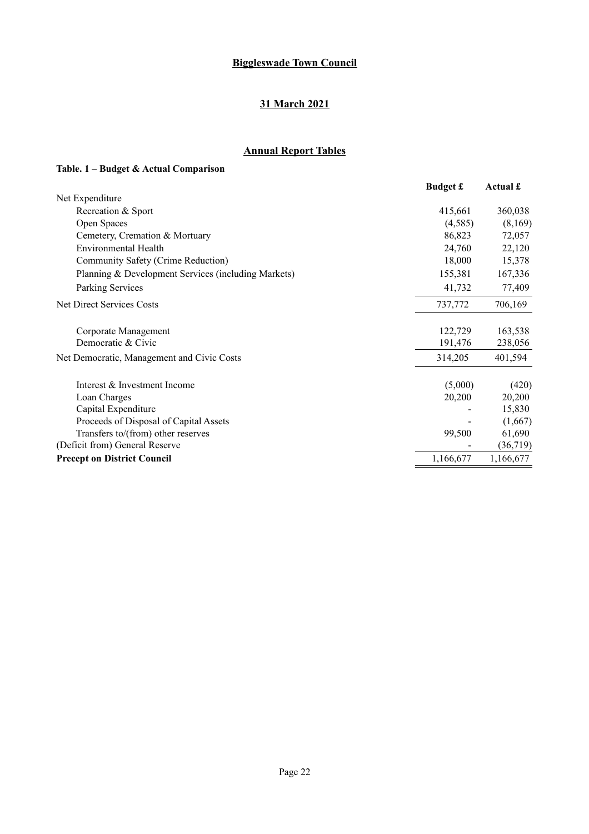# **31 March 2021**

# **Annual Report Tables**

# **Table. 1 – Budget & Actual Comparison**

|                                                     | <b>Budget £</b> | Actual £  |
|-----------------------------------------------------|-----------------|-----------|
| Net Expenditure                                     |                 |           |
| Recreation & Sport                                  | 415,661         | 360,038   |
| Open Spaces                                         | (4,585)         | (8,169)   |
| Cemetery, Cremation & Mortuary                      | 86,823          | 72,057    |
| Environmental Health                                | 24,760          | 22,120    |
| Community Safety (Crime Reduction)                  | 18,000          | 15,378    |
| Planning & Development Services (including Markets) | 155,381         | 167,336   |
| Parking Services                                    | 41,732          | 77,409    |
| Net Direct Services Costs                           | 737,772         | 706,169   |
| Corporate Management                                | 122,729         | 163,538   |
| Democratic & Civic                                  | 191,476         | 238,056   |
| Net Democratic, Management and Civic Costs          | 314,205         | 401,594   |
| Interest & Investment Income                        | (5,000)         | (420)     |
| Loan Charges                                        | 20,200          | 20,200    |
| Capital Expenditure                                 |                 | 15,830    |
| Proceeds of Disposal of Capital Assets              |                 | (1,667)   |
| Transfers to/(from) other reserves                  | 99,500          | 61,690    |
| (Deficit from) General Reserve                      |                 | (36, 719) |
| <b>Precept on District Council</b>                  | 1,166,677       | 1,166,677 |